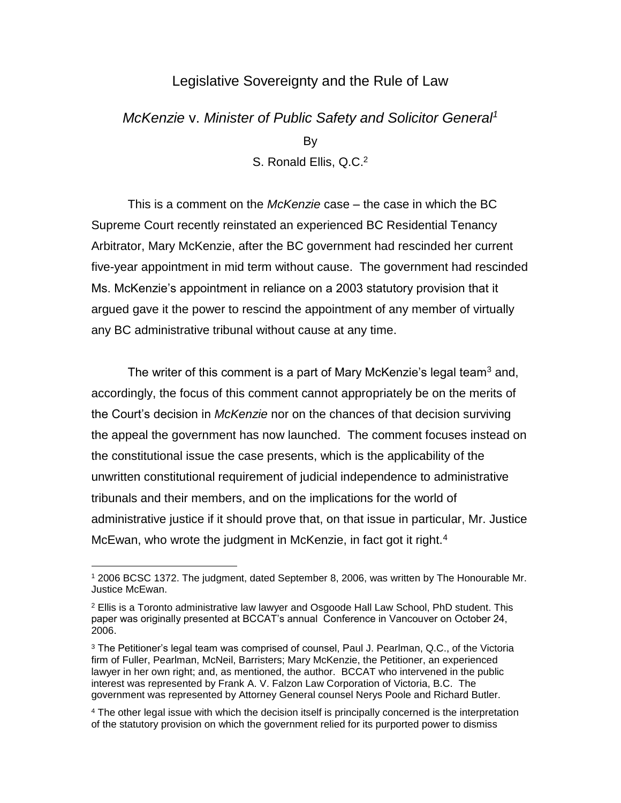## Legislative Sovereignty and the Rule of Law

# *McKenzie* v. *Minister of Public Safety and Solicitor General<sup>1</sup>*

By

S. Ronald Ellis, Q.C.<sup>2</sup>

This is a comment on the *McKenzie* case – the case in which the BC Supreme Court recently reinstated an experienced BC Residential Tenancy Arbitrator, Mary McKenzie, after the BC government had rescinded her current five-year appointment in mid term without cause. The government had rescinded Ms. McKenzie's appointment in reliance on a 2003 statutory provision that it argued gave it the power to rescind the appointment of any member of virtually any BC administrative tribunal without cause at any time.

The writer of this comment is a part of Mary McKenzie's legal team<sup>3</sup> and, accordingly, the focus of this comment cannot appropriately be on the merits of the Court's decision in *McKenzie* nor on the chances of that decision surviving the appeal the government has now launched. The comment focuses instead on the constitutional issue the case presents, which is the applicability of the unwritten constitutional requirement of judicial independence to administrative tribunals and their members, and on the implications for the world of administrative justice if it should prove that, on that issue in particular, Mr. Justice McEwan, who wrote the judgment in McKenzie, in fact got it right.<sup>4</sup>

 $\overline{a}$ 

<sup>4</sup> The other legal issue with which the decision itself is principally concerned is the interpretation of the statutory provision on which the government relied for its purported power to dismiss

<sup>1</sup> 2006 BCSC 1372. The judgment, dated September 8, 2006, was written by The Honourable Mr. Justice McEwan.

 $2$  Ellis is a Toronto administrative law lawyer and Osgoode Hall Law School, PhD student. This paper was originally presented at BCCAT's annual Conference in Vancouver on October 24, 2006.

<sup>&</sup>lt;sup>3</sup> The Petitioner's legal team was comprised of counsel, Paul J. Pearlman, Q.C., of the Victoria firm of Fuller, Pearlman, McNeil, Barristers; Mary McKenzie, the Petitioner, an experienced lawyer in her own right; and, as mentioned, the author. BCCAT who intervened in the public interest was represented by Frank A. V. Falzon Law Corporation of Victoria, B.C. The government was represented by Attorney General counsel Nerys Poole and Richard Butler.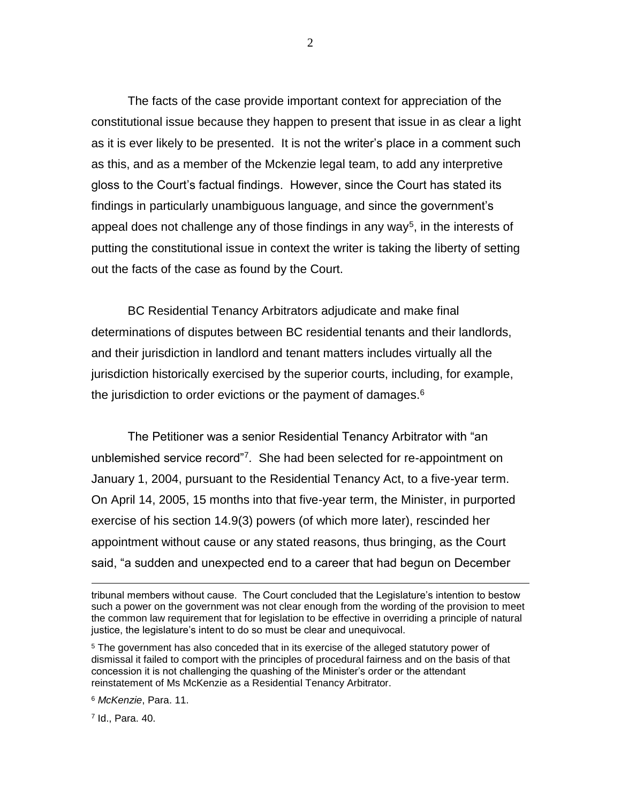The facts of the case provide important context for appreciation of the constitutional issue because they happen to present that issue in as clear a light as it is ever likely to be presented. It is not the writer's place in a comment such as this, and as a member of the Mckenzie legal team, to add any interpretive gloss to the Court's factual findings. However, since the Court has stated its findings in particularly unambiguous language, and since the government's appeal does not challenge any of those findings in any way<sup>5</sup>, in the interests of putting the constitutional issue in context the writer is taking the liberty of setting out the facts of the case as found by the Court.

BC Residential Tenancy Arbitrators adjudicate and make final determinations of disputes between BC residential tenants and their landlords, and their jurisdiction in landlord and tenant matters includes virtually all the jurisdiction historically exercised by the superior courts, including, for example, the jurisdiction to order evictions or the payment of damages.<sup>6</sup>

The Petitioner was a senior Residential Tenancy Arbitrator with "an unblemished service record"<sup>7</sup>. She had been selected for re-appointment on January 1, 2004, pursuant to the Residential Tenancy Act, to a five-year term. On April 14, 2005, 15 months into that five-year term, the Minister, in purported exercise of his section 14.9(3) powers (of which more later), rescinded her appointment without cause or any stated reasons, thus bringing, as the Court said, "a sudden and unexpected end to a career that had begun on December

<sup>6</sup> *McKenzie*, Para. 11.

7 Id., Para. 40.

tribunal members without cause. The Court concluded that the Legislature's intention to bestow such a power on the government was not clear enough from the wording of the provision to meet the common law requirement that for legislation to be effective in overriding a principle of natural justice, the legislature's intent to do so must be clear and unequivocal.

<sup>5</sup> The government has also conceded that in its exercise of the alleged statutory power of dismissal it failed to comport with the principles of procedural fairness and on the basis of that concession it is not challenging the quashing of the Minister's order or the attendant reinstatement of Ms McKenzie as a Residential Tenancy Arbitrator.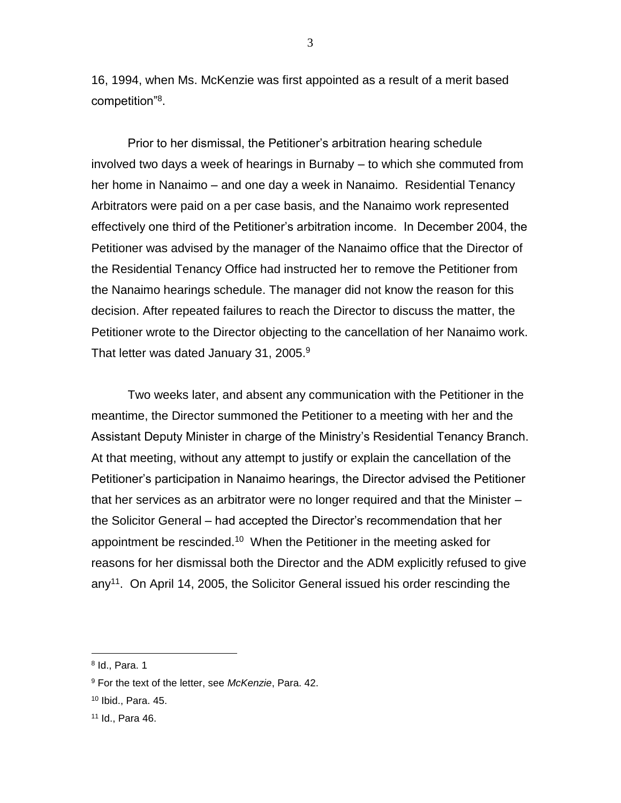16, 1994, when Ms. McKenzie was first appointed as a result of a merit based competition"<sup>8</sup> .

Prior to her dismissal, the Petitioner's arbitration hearing schedule involved two days a week of hearings in Burnaby – to which she commuted from her home in Nanaimo – and one day a week in Nanaimo. Residential Tenancy Arbitrators were paid on a per case basis, and the Nanaimo work represented effectively one third of the Petitioner's arbitration income. In December 2004, the Petitioner was advised by the manager of the Nanaimo office that the Director of the Residential Tenancy Office had instructed her to remove the Petitioner from the Nanaimo hearings schedule. The manager did not know the reason for this decision. After repeated failures to reach the Director to discuss the matter, the Petitioner wrote to the Director objecting to the cancellation of her Nanaimo work. That letter was dated January 31, 2005.<sup>9</sup>

Two weeks later, and absent any communication with the Petitioner in the meantime, the Director summoned the Petitioner to a meeting with her and the Assistant Deputy Minister in charge of the Ministry's Residential Tenancy Branch. At that meeting, without any attempt to justify or explain the cancellation of the Petitioner's participation in Nanaimo hearings, the Director advised the Petitioner that her services as an arbitrator were no longer required and that the Minister – the Solicitor General – had accepted the Director's recommendation that her appointment be rescinded.<sup>10</sup> When the Petitioner in the meeting asked for reasons for her dismissal both the Director and the ADM explicitly refused to give any<sup>11</sup>. On April 14, 2005, the Solicitor General issued his order rescinding the

<sup>8</sup> Id., Para. 1

<sup>9</sup> For the text of the letter, see *McKenzie*, Para. 42.

<sup>10</sup> Ibid., Para. 45.

<sup>11</sup> Id., Para 46.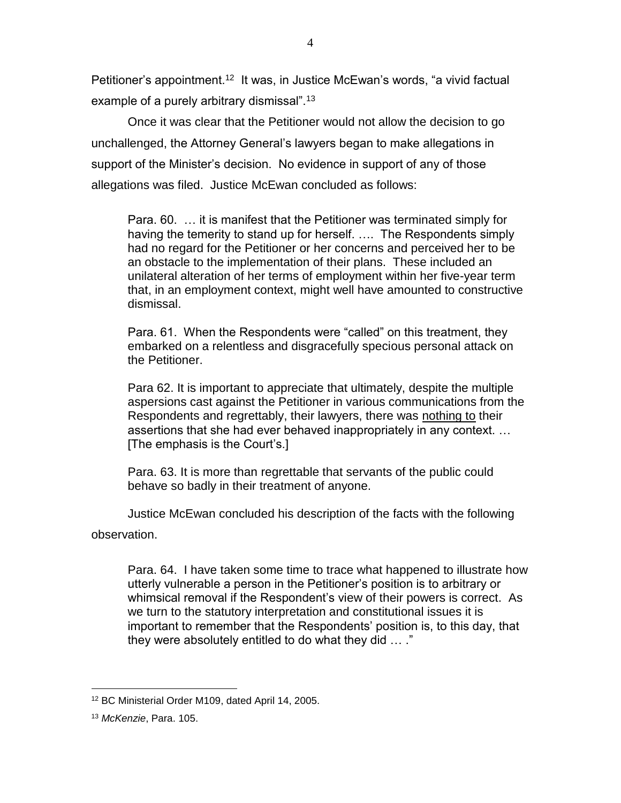Petitioner's appointment.<sup>12</sup> It was, in Justice McEwan's words, "a vivid factual example of a purely arbitrary dismissal".<sup>13</sup>

Once it was clear that the Petitioner would not allow the decision to go unchallenged, the Attorney General's lawyers began to make allegations in support of the Minister's decision. No evidence in support of any of those allegations was filed. Justice McEwan concluded as follows:

Para. 60. … it is manifest that the Petitioner was terminated simply for having the temerity to stand up for herself. …. The Respondents simply had no regard for the Petitioner or her concerns and perceived her to be an obstacle to the implementation of their plans. These included an unilateral alteration of her terms of employment within her five-year term that, in an employment context, might well have amounted to constructive dismissal.

Para. 61. When the Respondents were "called" on this treatment, they embarked on a relentless and disgracefully specious personal attack on the Petitioner.

Para 62. It is important to appreciate that ultimately, despite the multiple aspersions cast against the Petitioner in various communications from the Respondents and regrettably, their lawyers, there was nothing to their assertions that she had ever behaved inappropriately in any context. … [The emphasis is the Court's.]

Para. 63. It is more than regrettable that servants of the public could behave so badly in their treatment of anyone.

Justice McEwan concluded his description of the facts with the following

observation.

Para. 64. I have taken some time to trace what happened to illustrate how utterly vulnerable a person in the Petitioner's position is to arbitrary or whimsical removal if the Respondent's view of their powers is correct. As we turn to the statutory interpretation and constitutional issues it is important to remember that the Respondents' position is, to this day, that they were absolutely entitled to do what they did … ."

<sup>12</sup> BC Ministerial Order M109, dated April 14, 2005.

<sup>13</sup> *McKenzie*, Para. 105.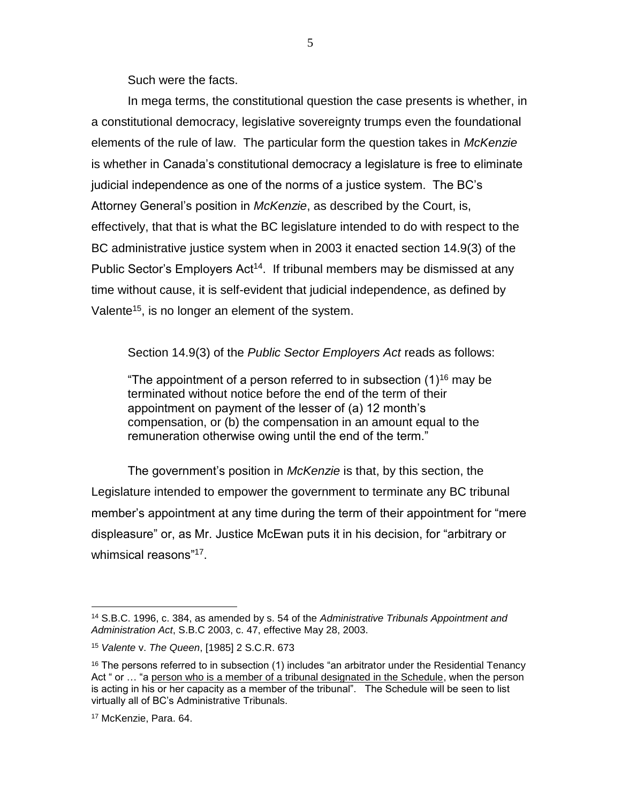Such were the facts.

In mega terms, the constitutional question the case presents is whether, in a constitutional democracy, legislative sovereignty trumps even the foundational elements of the rule of law. The particular form the question takes in *McKenzie* is whether in Canada's constitutional democracy a legislature is free to eliminate judicial independence as one of the norms of a justice system. The BC's Attorney General's position in *McKenzie*, as described by the Court, is, effectively, that that is what the BC legislature intended to do with respect to the BC administrative justice system when in 2003 it enacted section 14.9(3) of the Public Sector's Employers Act<sup>14</sup>. If tribunal members may be dismissed at any time without cause, it is self-evident that judicial independence, as defined by Valente<sup>15</sup>, is no longer an element of the system.

Section 14.9(3) of the *Public Sector Employers Act* reads as follows:

"The appointment of a person referred to in subsection  $(1)^{16}$  may be terminated without notice before the end of the term of their appointment on payment of the lesser of (a) 12 month's compensation, or (b) the compensation in an amount equal to the remuneration otherwise owing until the end of the term."

The government's position in *McKenzie* is that, by this section, the Legislature intended to empower the government to terminate any BC tribunal member's appointment at any time during the term of their appointment for "mere displeasure" or, as Mr. Justice McEwan puts it in his decision, for "arbitrary or whimsical reasons"<sup>17</sup>.

<sup>14</sup> S.B.C. 1996, c. 384, as amended by s. 54 of the *Administrative Tribunals Appointment and Administration Act*, S.B.C 2003, c. 47, effective May 28, 2003.

<sup>15</sup> *Valente* v. *The Queen*, [1985] 2 S.C.R. 673

 $16$  The persons referred to in subsection (1) includes "an arbitrator under the Residential Tenancy Act " or … "a person who is a member of a tribunal designated in the Schedule, when the person is acting in his or her capacity as a member of the tribunal". The Schedule will be seen to list virtually all of BC's Administrative Tribunals.

<sup>17</sup> McKenzie, Para. 64.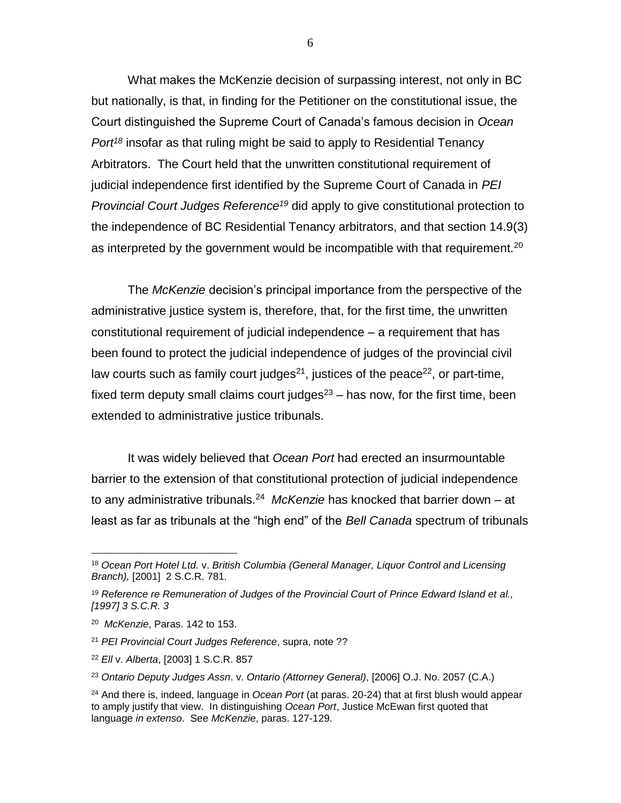What makes the McKenzie decision of surpassing interest, not only in BC but nationally, is that, in finding for the Petitioner on the constitutional issue, the Court distinguished the Supreme Court of Canada's famous decision in *Ocean Port <sup>18</sup>* insofar as that ruling might be said to apply to Residential Tenancy Arbitrators. The Court held that the unwritten constitutional requirement of judicial independence first identified by the Supreme Court of Canada in *PEI Provincial Court Judges Reference<sup>19</sup>* did apply to give constitutional protection to the independence of BC Residential Tenancy arbitrators, and that section 14.9(3) as interpreted by the government would be incompatible with that requirement.<sup>20</sup>

The *McKenzie* decision's principal importance from the perspective of the administrative justice system is, therefore, that, for the first time, the unwritten constitutional requirement of judicial independence – a requirement that has been found to protect the judicial independence of judges of the provincial civil law courts such as family court judges<sup>21</sup>, justices of the peace<sup>22</sup>, or part-time, fixed term deputy small claims court judges $23 -$  has now, for the first time, been extended to administrative justice tribunals.

It was widely believed that *Ocean Port* had erected an insurmountable barrier to the extension of that constitutional protection of judicial independence to any administrative tribunals.<sup>24</sup> McKenzie has knocked that barrier down – at least as far as tribunals at the "high end" of the *Bell Canada* spectrum of tribunals

 $\overline{a}$ 

6

<sup>18</sup> *Ocean Port Hotel Ltd.* v. *British Columbia (General Manager, Liquor Control and Licensing Branch),* [2001] 2 S.C.R. 781.

<sup>19</sup> *Reference re Remuneration of Judges of the Provincial Court of Prince Edward Island et al., [1997] 3 S.C.R. 3*

<sup>20</sup> *McKenzie*, Paras. 142 to 153.

<sup>21</sup> *PEI Provincial Court Judges Reference*, supra, note ??

<sup>22</sup> *Ell* v. *Alberta*, [2003] 1 S.C.R. 857

<sup>23</sup> *Ontario Deputy Judges Assn*. v. *Ontario (Attorney General)*, [2006] O.J. No. 2057 (C.A.)

<sup>24</sup> And there is, indeed, language in *Ocean Port* (at paras. 20-24) that at first blush would appear to amply justify that view. In distinguishing *Ocean Port*, Justice McEwan first quoted that language *in extenso*. See *McKenzie*, paras. 127-129.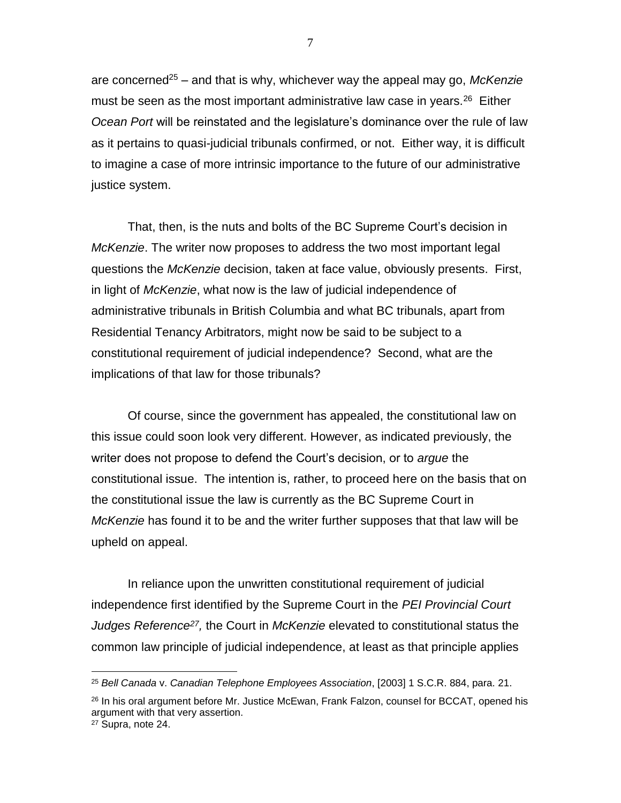are concerned<sup>25</sup> – and that is why, whichever way the appeal may go, *McKenzie* must be seen as the most important administrative law case in years. $26$  Either *Ocean Port* will be reinstated and the legislature's dominance over the rule of law as it pertains to quasi-judicial tribunals confirmed, or not. Either way, it is difficult to imagine a case of more intrinsic importance to the future of our administrative justice system.

That, then, is the nuts and bolts of the BC Supreme Court's decision in *McKenzie*. The writer now proposes to address the two most important legal questions the *McKenzie* decision, taken at face value, obviously presents. First, in light of *McKenzie*, what now is the law of judicial independence of administrative tribunals in British Columbia and what BC tribunals, apart from Residential Tenancy Arbitrators, might now be said to be subject to a constitutional requirement of judicial independence? Second, what are the implications of that law for those tribunals?

Of course, since the government has appealed, the constitutional law on this issue could soon look very different. However, as indicated previously, the writer does not propose to defend the Court's decision, or to *argue* the constitutional issue. The intention is, rather, to proceed here on the basis that on the constitutional issue the law is currently as the BC Supreme Court in *McKenzie* has found it to be and the writer further supposes that that law will be upheld on appeal.

In reliance upon the unwritten constitutional requirement of judicial independence first identified by the Supreme Court in the *PEI Provincial Court*  Judges Reference<sup>27</sup>, the Court in *McKenzie* elevated to constitutional status the common law principle of judicial independence, at least as that principle applies

<sup>25</sup> *Bell Canada* v. *Canadian Telephone Employees Association*, [2003] 1 S.C.R. 884, para. 21.

<sup>&</sup>lt;sup>26</sup> In his oral argument before Mr. Justice McEwan, Frank Falzon, counsel for BCCAT, opened his argument with that very assertion.

<sup>27</sup> Supra, note 24.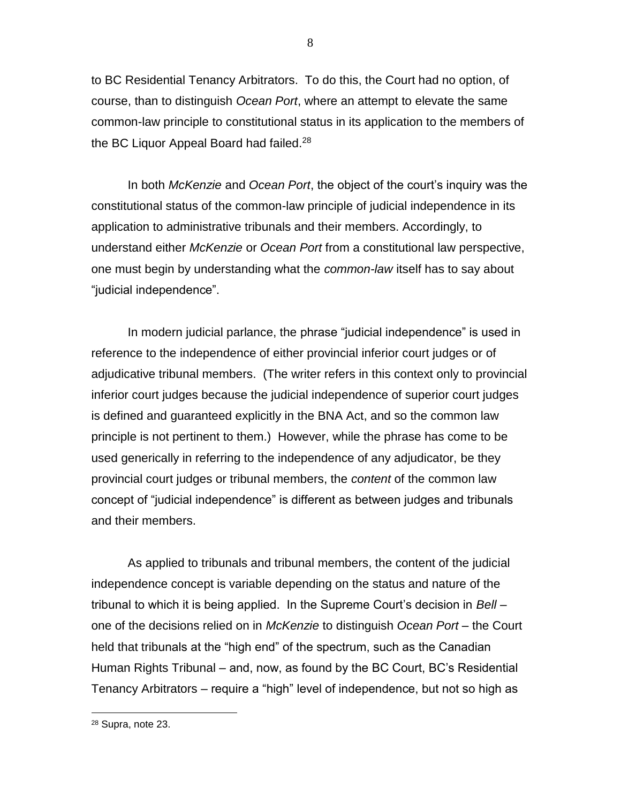to BC Residential Tenancy Arbitrators. To do this, the Court had no option, of course, than to distinguish *Ocean Port*, where an attempt to elevate the same common-law principle to constitutional status in its application to the members of the BC Liquor Appeal Board had failed.<sup>28</sup>

In both *McKenzie* and *Ocean Port*, the object of the court's inquiry was the constitutional status of the common-law principle of judicial independence in its application to administrative tribunals and their members. Accordingly, to understand either *McKenzie* or *Ocean Port* from a constitutional law perspective, one must begin by understanding what the *common-law* itself has to say about "judicial independence".

In modern judicial parlance, the phrase "judicial independence" is used in reference to the independence of either provincial inferior court judges or of adjudicative tribunal members. (The writer refers in this context only to provincial inferior court judges because the judicial independence of superior court judges is defined and guaranteed explicitly in the BNA Act, and so the common law principle is not pertinent to them.) However, while the phrase has come to be used generically in referring to the independence of any adjudicator, be they provincial court judges or tribunal members, the *content* of the common law concept of "judicial independence" is different as between judges and tribunals and their members.

As applied to tribunals and tribunal members, the content of the judicial independence concept is variable depending on the status and nature of the tribunal to which it is being applied. In the Supreme Court's decision in *Bell* – one of the decisions relied on in *McKenzie* to distinguish *Ocean Port* – the Court held that tribunals at the "high end" of the spectrum, such as the Canadian Human Rights Tribunal – and, now, as found by the BC Court, BC's Residential Tenancy Arbitrators – require a "high" level of independence, but not so high as

8

<sup>28</sup> Supra, note 23.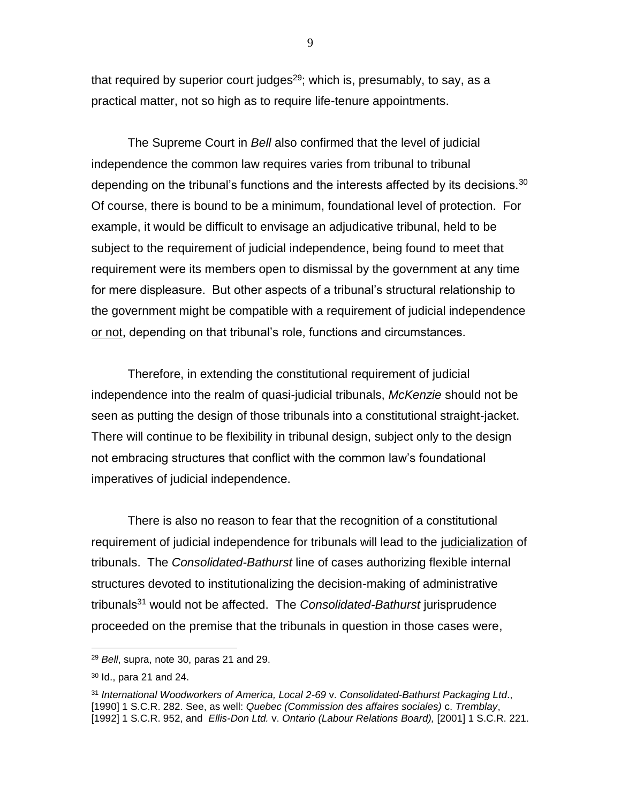that required by superior court judges<sup>29</sup>; which is, presumably, to say, as a practical matter, not so high as to require life-tenure appointments.

The Supreme Court in *Bell* also confirmed that the level of judicial independence the common law requires varies from tribunal to tribunal depending on the tribunal's functions and the interests affected by its decisions.<sup>30</sup> Of course, there is bound to be a minimum, foundational level of protection. For example, it would be difficult to envisage an adjudicative tribunal, held to be subject to the requirement of judicial independence, being found to meet that requirement were its members open to dismissal by the government at any time for mere displeasure. But other aspects of a tribunal's structural relationship to the government might be compatible with a requirement of judicial independence or not, depending on that tribunal's role, functions and circumstances.

Therefore, in extending the constitutional requirement of judicial independence into the realm of quasi-judicial tribunals, *McKenzie* should not be seen as putting the design of those tribunals into a constitutional straight-jacket. There will continue to be flexibility in tribunal design, subject only to the design not embracing structures that conflict with the common law's foundational imperatives of judicial independence.

There is also no reason to fear that the recognition of a constitutional requirement of judicial independence for tribunals will lead to the judicialization of tribunals. The *Consolidated-Bathurst* line of cases authorizing flexible internal structures devoted to institutionalizing the decision-making of administrative tribunals<sup>31</sup> would not be affected. The *Consolidated-Bathurst* jurisprudence proceeded on the premise that the tribunals in question in those cases were,

<sup>29</sup> *Bell*, supra, note 30, paras 21 and 29.

<sup>30</sup> Id., para 21 and 24.

<sup>31</sup> *International Woodworkers of America, Local 2-69* v. *Consolidated-Bathurst Packaging Ltd*., [1990] 1 S.C.R. 282. See, as well: *Quebec (Commission des affaires sociales)* c. *Tremblay*, [1992] 1 S.C.R. 952, and *Ellis-Don Ltd.* v. *Ontario (Labour Relations Board),* [2001] 1 S.C.R. 221.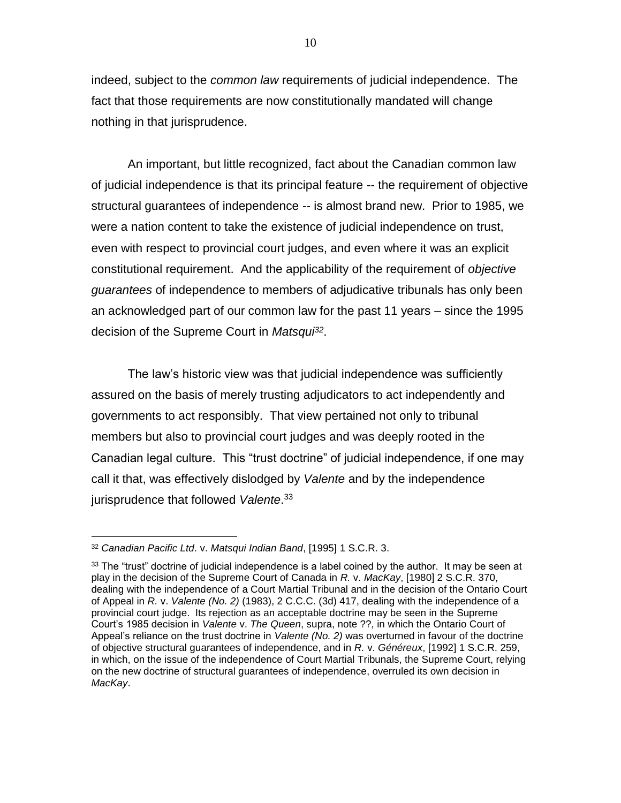indeed, subject to the *common law* requirements of judicial independence. The fact that those requirements are now constitutionally mandated will change nothing in that jurisprudence.

An important, but little recognized, fact about the Canadian common law of judicial independence is that its principal feature -- the requirement of objective structural guarantees of independence -- is almost brand new. Prior to 1985, we were a nation content to take the existence of judicial independence on trust, even with respect to provincial court judges, and even where it was an explicit constitutional requirement. And the applicability of the requirement of *objective guarantees* of independence to members of adjudicative tribunals has only been an acknowledged part of our common law for the past 11 years – since the 1995 decision of the Supreme Court in *Matsqui<sup>32</sup>* .

The law's historic view was that judicial independence was sufficiently assured on the basis of merely trusting adjudicators to act independently and governments to act responsibly. That view pertained not only to tribunal members but also to provincial court judges and was deeply rooted in the Canadian legal culture. This "trust doctrine" of judicial independence, if one may call it that, was effectively dislodged by *Valente* and by the independence jurisprudence that followed *Valente*. 33

<sup>32</sup> *Canadian Pacific Ltd*. v. *Matsqui Indian Band*, [1995] 1 S.C.R. 3.

 $33$  The "trust" doctrine of judicial independence is a label coined by the author. It may be seen at play in the decision of the Supreme Court of Canada in *R.* v. *MacKay*, [1980] 2 S.C.R. 370, dealing with the independence of a Court Martial Tribunal and in the decision of the Ontario Court of Appeal in *R.* v. *Valente (No. 2)* (1983), 2 C.C.C. (3d) 417, dealing with the independence of a provincial court judge. Its rejection as an acceptable doctrine may be seen in the Supreme Court's 1985 decision in *Valente* v. *The Queen*, supra, note ??, in which the Ontario Court of Appeal's reliance on the trust doctrine in *Valente (No. 2)* was overturned in favour of the doctrine of objective structural guarantees of independence, and in *R.* v. *Généreux*, [1992] 1 S.C.R. 259, in which, on the issue of the independence of Court Martial Tribunals, the Supreme Court, relying on the new doctrine of structural guarantees of independence, overruled its own decision in *MacKay*.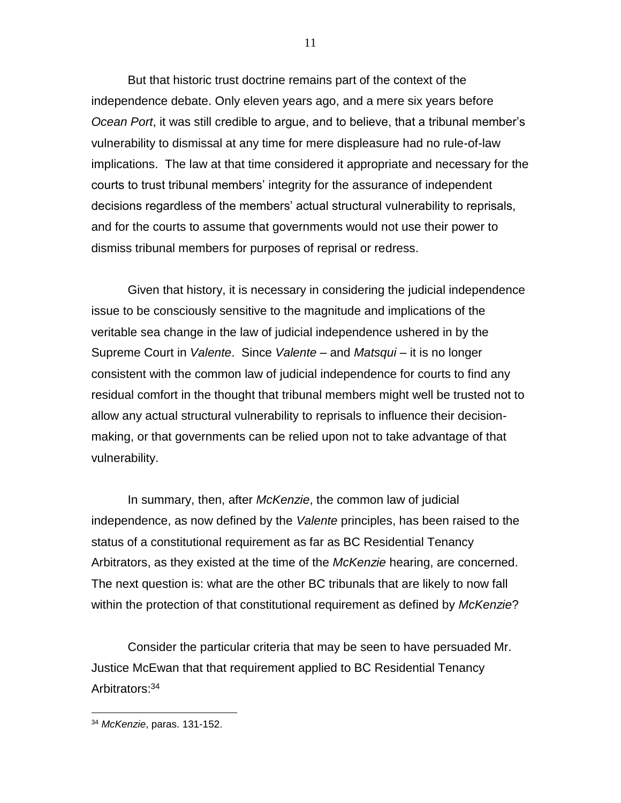But that historic trust doctrine remains part of the context of the independence debate. Only eleven years ago, and a mere six years before *Ocean Port*, it was still credible to argue, and to believe, that a tribunal member's vulnerability to dismissal at any time for mere displeasure had no rule-of-law implications. The law at that time considered it appropriate and necessary for the courts to trust tribunal members' integrity for the assurance of independent decisions regardless of the members' actual structural vulnerability to reprisals, and for the courts to assume that governments would not use their power to dismiss tribunal members for purposes of reprisal or redress.

Given that history, it is necessary in considering the judicial independence issue to be consciously sensitive to the magnitude and implications of the veritable sea change in the law of judicial independence ushered in by the Supreme Court in *Valente*. Since *Valente* – and *Matsqui* – it is no longer consistent with the common law of judicial independence for courts to find any residual comfort in the thought that tribunal members might well be trusted not to allow any actual structural vulnerability to reprisals to influence their decisionmaking, or that governments can be relied upon not to take advantage of that vulnerability.

In summary, then, after *McKenzie*, the common law of judicial independence, as now defined by the *Valente* principles, has been raised to the status of a constitutional requirement as far as BC Residential Tenancy Arbitrators, as they existed at the time of the *McKenzie* hearing, are concerned. The next question is: what are the other BC tribunals that are likely to now fall within the protection of that constitutional requirement as defined by *McKenzie*?

Consider the particular criteria that may be seen to have persuaded Mr. Justice McEwan that that requirement applied to BC Residential Tenancy Arbitrators:<sup>34</sup>

<sup>34</sup> *McKenzie*, paras. 131-152.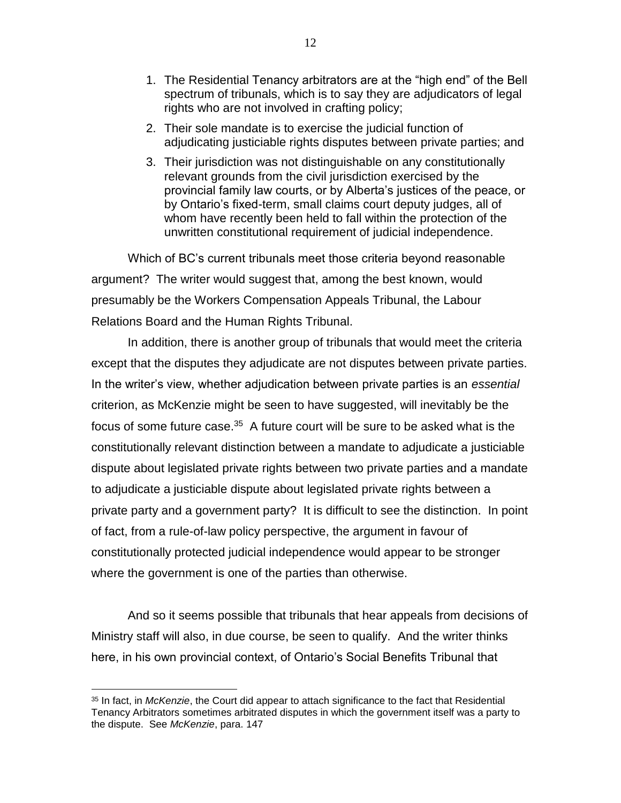- 1. The Residential Tenancy arbitrators are at the "high end" of the Bell spectrum of tribunals, which is to say they are adjudicators of legal rights who are not involved in crafting policy;
- 2. Their sole mandate is to exercise the judicial function of adjudicating justiciable rights disputes between private parties; and
- 3. Their jurisdiction was not distinguishable on any constitutionally relevant grounds from the civil jurisdiction exercised by the provincial family law courts, or by Alberta's justices of the peace, or by Ontario's fixed-term, small claims court deputy judges, all of whom have recently been held to fall within the protection of the unwritten constitutional requirement of judicial independence.

Which of BC's current tribunals meet those criteria beyond reasonable argument? The writer would suggest that, among the best known, would presumably be the Workers Compensation Appeals Tribunal, the Labour Relations Board and the Human Rights Tribunal.

In addition, there is another group of tribunals that would meet the criteria except that the disputes they adjudicate are not disputes between private parties. In the writer's view, whether adjudication between private parties is an *essential* criterion, as McKenzie might be seen to have suggested, will inevitably be the focus of some future case.<sup>35</sup> A future court will be sure to be asked what is the constitutionally relevant distinction between a mandate to adjudicate a justiciable dispute about legislated private rights between two private parties and a mandate to adjudicate a justiciable dispute about legislated private rights between a private party and a government party? It is difficult to see the distinction. In point of fact, from a rule-of-law policy perspective, the argument in favour of constitutionally protected judicial independence would appear to be stronger where the government is one of the parties than otherwise.

And so it seems possible that tribunals that hear appeals from decisions of Ministry staff will also, in due course, be seen to qualify. And the writer thinks here, in his own provincial context, of Ontario's Social Benefits Tribunal that

<sup>35</sup> In fact, in *McKenzie*, the Court did appear to attach significance to the fact that Residential Tenancy Arbitrators sometimes arbitrated disputes in which the government itself was a party to the dispute. See *McKenzie*, para. 147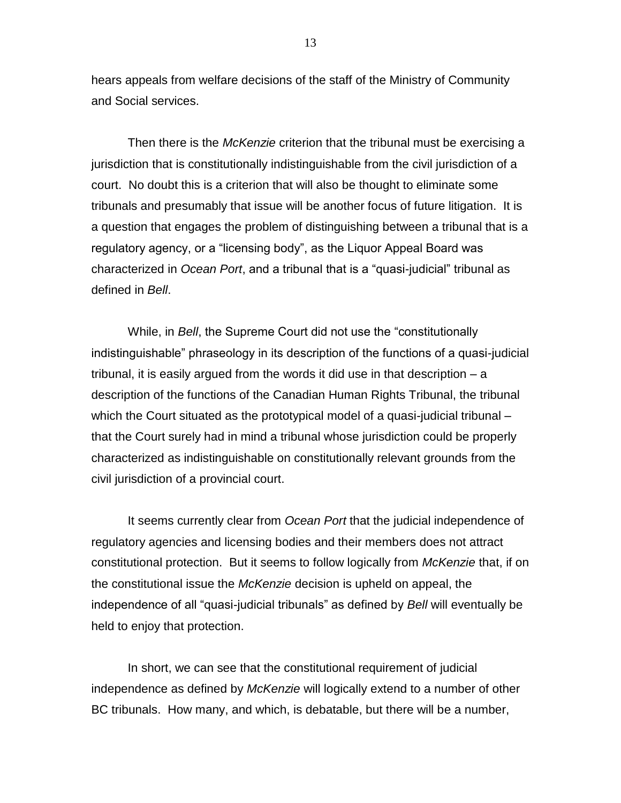hears appeals from welfare decisions of the staff of the Ministry of Community and Social services.

Then there is the *McKenzie* criterion that the tribunal must be exercising a jurisdiction that is constitutionally indistinguishable from the civil jurisdiction of a court. No doubt this is a criterion that will also be thought to eliminate some tribunals and presumably that issue will be another focus of future litigation. It is a question that engages the problem of distinguishing between a tribunal that is a regulatory agency, or a "licensing body", as the Liquor Appeal Board was characterized in *Ocean Port*, and a tribunal that is a "quasi-judicial" tribunal as defined in *Bell*.

While, in *Bell*, the Supreme Court did not use the "constitutionally indistinguishable" phraseology in its description of the functions of a quasi-judicial tribunal, it is easily argued from the words it did use in that description – a description of the functions of the Canadian Human Rights Tribunal, the tribunal which the Court situated as the prototypical model of a quasi-judicial tribunal – that the Court surely had in mind a tribunal whose jurisdiction could be properly characterized as indistinguishable on constitutionally relevant grounds from the civil jurisdiction of a provincial court.

It seems currently clear from *Ocean Port* that the judicial independence of regulatory agencies and licensing bodies and their members does not attract constitutional protection. But it seems to follow logically from *McKenzie* that, if on the constitutional issue the *McKenzie* decision is upheld on appeal, the independence of all "quasi-judicial tribunals" as defined by *Bell* will eventually be held to enjoy that protection.

In short, we can see that the constitutional requirement of judicial independence as defined by *McKenzie* will logically extend to a number of other BC tribunals. How many, and which, is debatable, but there will be a number,

13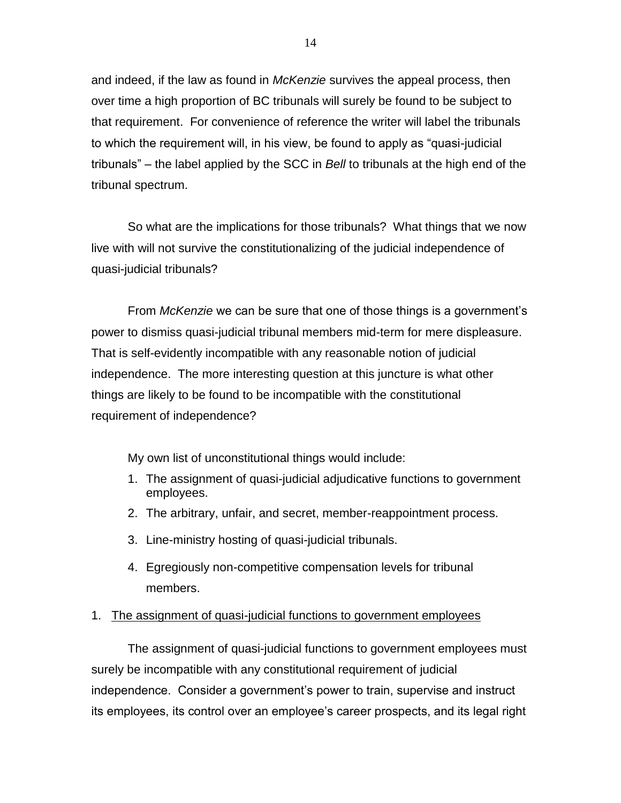and indeed, if the law as found in *McKenzie* survives the appeal process, then over time a high proportion of BC tribunals will surely be found to be subject to that requirement. For convenience of reference the writer will label the tribunals to which the requirement will, in his view, be found to apply as "quasi-judicial tribunals" – the label applied by the SCC in *Bell* to tribunals at the high end of the tribunal spectrum.

So what are the implications for those tribunals? What things that we now live with will not survive the constitutionalizing of the judicial independence of quasi-judicial tribunals?

From *McKenzie* we can be sure that one of those things is a government's power to dismiss quasi-judicial tribunal members mid-term for mere displeasure. That is self-evidently incompatible with any reasonable notion of judicial independence. The more interesting question at this juncture is what other things are likely to be found to be incompatible with the constitutional requirement of independence?

My own list of unconstitutional things would include:

- 1. The assignment of quasi-judicial adjudicative functions to government employees.
- 2. The arbitrary, unfair, and secret, member-reappointment process.
- 3. Line-ministry hosting of quasi-judicial tribunals.
- 4. Egregiously non-competitive compensation levels for tribunal members.

### 1. The assignment of quasi-judicial functions to government employees

The assignment of quasi-judicial functions to government employees must surely be incompatible with any constitutional requirement of judicial independence. Consider a government's power to train, supervise and instruct its employees, its control over an employee's career prospects, and its legal right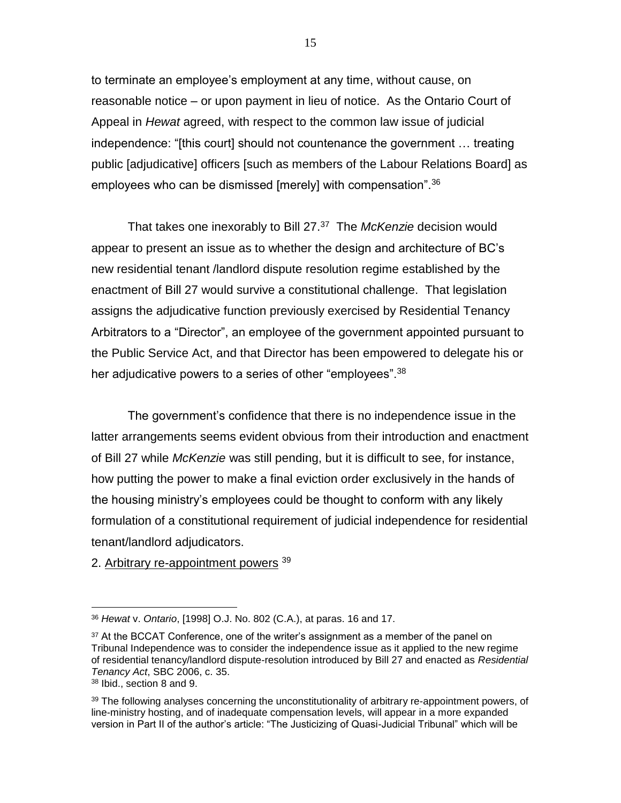to terminate an employee's employment at any time, without cause, on reasonable notice – or upon payment in lieu of notice. As the Ontario Court of Appeal in *Hewat* agreed, with respect to the common law issue of judicial independence: "[this court] should not countenance the government … treating public [adjudicative] officers [such as members of the Labour Relations Board] as employees who can be dismissed [merely] with compensation".<sup>36</sup>

That takes one inexorably to Bill 27.<sup>37</sup> The *McKenzie* decision would appear to present an issue as to whether the design and architecture of BC's new residential tenant /landlord dispute resolution regime established by the enactment of Bill 27 would survive a constitutional challenge. That legislation assigns the adjudicative function previously exercised by Residential Tenancy Arbitrators to a "Director", an employee of the government appointed pursuant to the Public Service Act, and that Director has been empowered to delegate his or her adjudicative powers to a series of other "employees".<sup>38</sup>

The government's confidence that there is no independence issue in the latter arrangements seems evident obvious from their introduction and enactment of Bill 27 while *McKenzie* was still pending, but it is difficult to see, for instance, how putting the power to make a final eviction order exclusively in the hands of the housing ministry's employees could be thought to conform with any likely formulation of a constitutional requirement of judicial independence for residential tenant/landlord adjudicators.

2. Arbitrary re-appointment powers <sup>39</sup>

<sup>36</sup> *Hewat* v. *Ontario*, [1998] O.J. No. 802 (C.A.), at paras. 16 and 17.

<sup>&</sup>lt;sup>37</sup> At the BCCAT Conference, one of the writer's assignment as a member of the panel on Tribunal Independence was to consider the independence issue as it applied to the new regime of residential tenancy/landlord dispute-resolution introduced by Bill 27 and enacted as *Residential Tenancy Act*, SBC 2006, c. 35.

<sup>38</sup> Ibid., section 8 and 9.

<sup>&</sup>lt;sup>39</sup> The following analyses concerning the unconstitutionality of arbitrary re-appointment powers, of line-ministry hosting, and of inadequate compensation levels, will appear in a more expanded version in Part II of the author's article: "The Justicizing of Quasi-Judicial Tribunal" which will be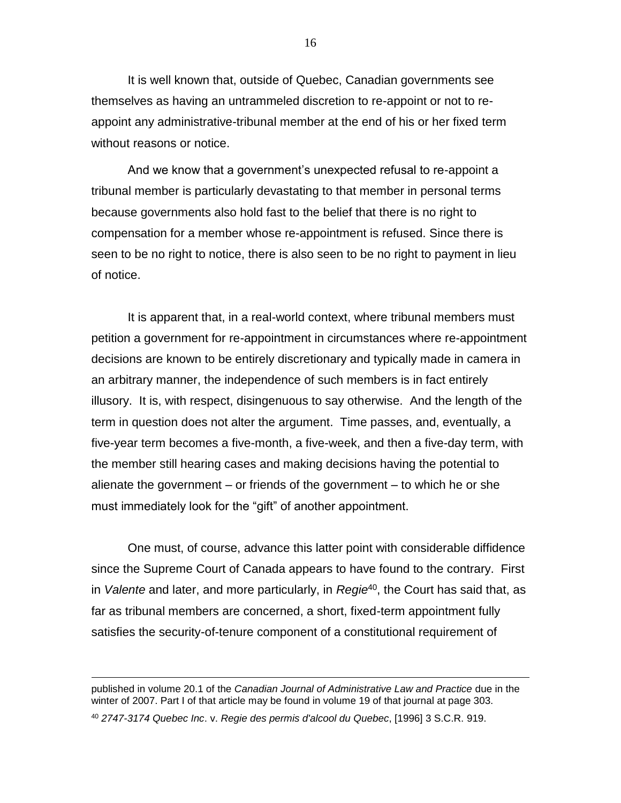It is well known that, outside of Quebec, Canadian governments see themselves as having an untrammeled discretion to re-appoint or not to reappoint any administrative-tribunal member at the end of his or her fixed term without reasons or notice.

And we know that a government's unexpected refusal to re-appoint a tribunal member is particularly devastating to that member in personal terms because governments also hold fast to the belief that there is no right to compensation for a member whose re-appointment is refused. Since there is seen to be no right to notice, there is also seen to be no right to payment in lieu of notice.

It is apparent that, in a real-world context, where tribunal members must petition a government for re-appointment in circumstances where re-appointment decisions are known to be entirely discretionary and typically made in camera in an arbitrary manner, the independence of such members is in fact entirely illusory. It is, with respect, disingenuous to say otherwise. And the length of the term in question does not alter the argument. Time passes, and, eventually, a five-year term becomes a five-month, a five-week, and then a five-day term, with the member still hearing cases and making decisions having the potential to alienate the government – or friends of the government – to which he or she must immediately look for the "gift" of another appointment.

One must, of course, advance this latter point with considerable diffidence since the Supreme Court of Canada appears to have found to the contrary. First in *Valente* and later, and more particularly, in *Regie*<sup>40</sup> , the Court has said that, as far as tribunal members are concerned, a short, fixed-term appointment fully satisfies the security-of-tenure component of a constitutional requirement of

 $\overline{a}$ 

16

published in volume 20.1 of the *Canadian Journal of Administrative Law and Practice* due in the winter of 2007. Part I of that article may be found in volume 19 of that journal at page 303.

<sup>40</sup> *2747-3174 Quebec Inc*. v. *Regie des permis d'alcool du Quebec*, [1996] 3 S.C.R. 919.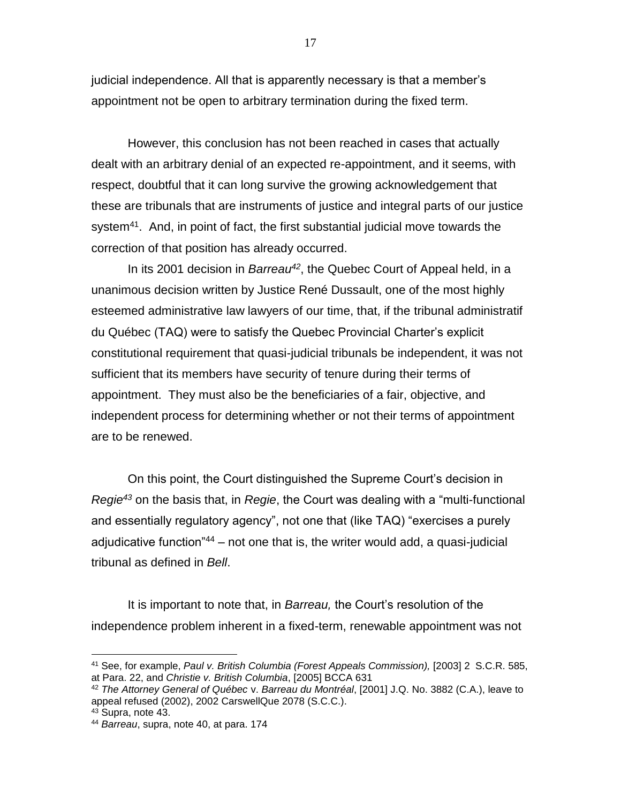judicial independence. All that is apparently necessary is that a member's appointment not be open to arbitrary termination during the fixed term.

However, this conclusion has not been reached in cases that actually dealt with an arbitrary denial of an expected re-appointment, and it seems, with respect, doubtful that it can long survive the growing acknowledgement that these are tribunals that are instruments of justice and integral parts of our justice system<sup>41</sup>. And, in point of fact, the first substantial judicial move towards the correction of that position has already occurred.

In its 2001 decision in *Barreau<sup>42</sup>* , the Quebec Court of Appeal held, in a unanimous decision written by Justice René Dussault, one of the most highly esteemed administrative law lawyers of our time, that, if the tribunal administratif du Québec (TAQ) were to satisfy the Quebec Provincial Charter's explicit constitutional requirement that quasi-judicial tribunals be independent, it was not sufficient that its members have security of tenure during their terms of appointment. They must also be the beneficiaries of a fair, objective, and independent process for determining whether or not their terms of appointment are to be renewed.

On this point, the Court distinguished the Supreme Court's decision in *Regie<sup>43</sup>* on the basis that, in *Regie*, the Court was dealing with a "multi-functional and essentially regulatory agency", not one that (like TAQ) "exercises a purely adjudicative function<sup>"44</sup> – not one that is, the writer would add, a quasi-judicial tribunal as defined in *Bell*.

It is important to note that, in *Barreau,* the Court's resolution of the independence problem inherent in a fixed-term, renewable appointment was not

<sup>42</sup> *The Attorney General of Québec* v. *Barreau du Montréal*, [2001] J.Q. No. 3882 (C.A.), leave to appeal refused (2002), 2002 CarswellQue 2078 (S.C.C.).

<sup>41</sup> See, for example, *Paul v. British Columbia (Forest Appeals Commission),* [2003] 2 S.C.R. 585, at Para. 22, and *Christie v. British Columbia*, [2005] BCCA 631

<sup>43</sup> Supra, note 43.

<sup>44</sup> *Barreau*, supra, note 40, at para. 174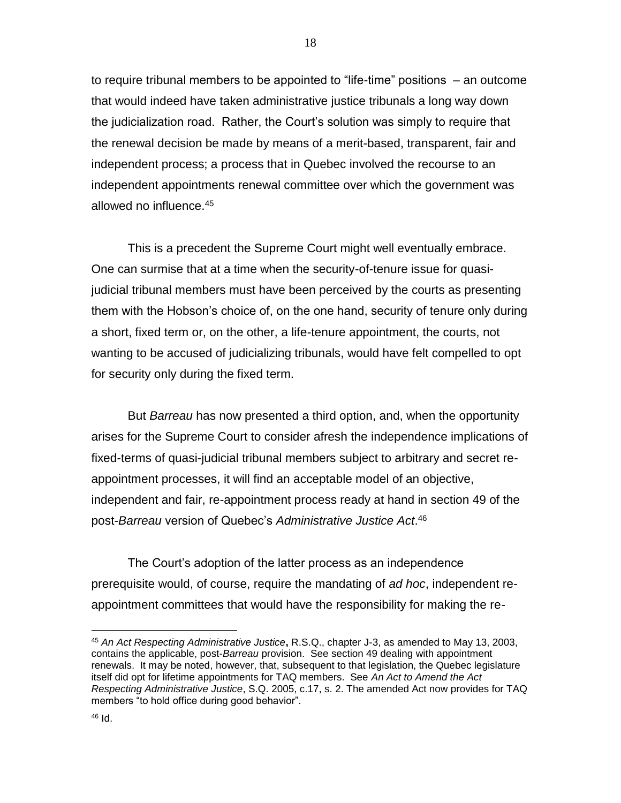to require tribunal members to be appointed to "life-time" positions – an outcome that would indeed have taken administrative justice tribunals a long way down the judicialization road. Rather, the Court's solution was simply to require that the renewal decision be made by means of a merit-based, transparent, fair and independent process; a process that in Quebec involved the recourse to an independent appointments renewal committee over which the government was allowed no influence.<sup>45</sup>

This is a precedent the Supreme Court might well eventually embrace. One can surmise that at a time when the security-of-tenure issue for quasijudicial tribunal members must have been perceived by the courts as presenting them with the Hobson's choice of, on the one hand, security of tenure only during a short, fixed term or, on the other, a life-tenure appointment, the courts, not wanting to be accused of judicializing tribunals, would have felt compelled to opt for security only during the fixed term.

But *Barreau* has now presented a third option, and, when the opportunity arises for the Supreme Court to consider afresh the independence implications of fixed-terms of quasi-judicial tribunal members subject to arbitrary and secret reappointment processes, it will find an acceptable model of an objective, independent and fair, re-appointment process ready at hand in section 49 of the post-*Barreau* version of Quebec's *Administrative Justice Act*. 46

The Court's adoption of the latter process as an independence prerequisite would, of course, require the mandating of *ad hoc*, independent reappointment committees that would have the responsibility for making the re-

<sup>45</sup> *An Act Respecting Administrative Justice***,** R.S.Q., chapter J-3, as amended to May 13, 2003, contains the applicable, post-*Barreau* provision. See section 49 dealing with appointment renewals. It may be noted, however, that, subsequent to that legislation, the Quebec legislature itself did opt for lifetime appointments for TAQ members. See *An Act to Amend the Act Respecting Administrative Justice*, S.Q. 2005, c.17, s. 2. The amended Act now provides for TAQ members "to hold office during good behavior".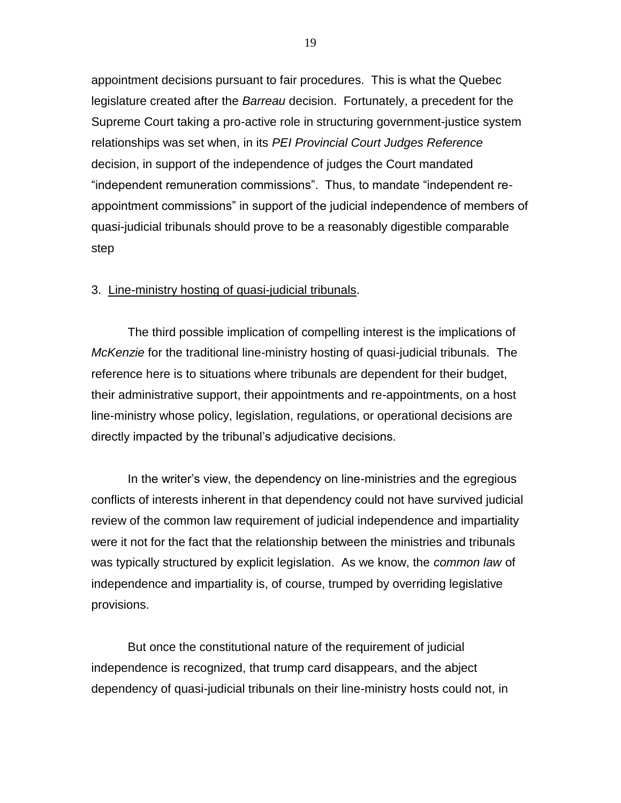appointment decisions pursuant to fair procedures. This is what the Quebec legislature created after the *Barreau* decision. Fortunately, a precedent for the Supreme Court taking a pro-active role in structuring government-justice system relationships was set when, in its *PEI Provincial Court Judges Reference* decision, in support of the independence of judges the Court mandated "independent remuneration commissions". Thus, to mandate "independent reappointment commissions" in support of the judicial independence of members of quasi-judicial tribunals should prove to be a reasonably digestible comparable step

#### 3. Line-ministry hosting of quasi-judicial tribunals.

The third possible implication of compelling interest is the implications of *McKenzie* for the traditional line-ministry hosting of quasi-judicial tribunals. The reference here is to situations where tribunals are dependent for their budget, their administrative support, their appointments and re-appointments, on a host line-ministry whose policy, legislation, regulations, or operational decisions are directly impacted by the tribunal's adjudicative decisions.

In the writer's view, the dependency on line-ministries and the egregious conflicts of interests inherent in that dependency could not have survived judicial review of the common law requirement of judicial independence and impartiality were it not for the fact that the relationship between the ministries and tribunals was typically structured by explicit legislation. As we know, the *common law* of independence and impartiality is, of course, trumped by overriding legislative provisions.

But once the constitutional nature of the requirement of judicial independence is recognized, that trump card disappears, and the abject dependency of quasi-judicial tribunals on their line-ministry hosts could not, in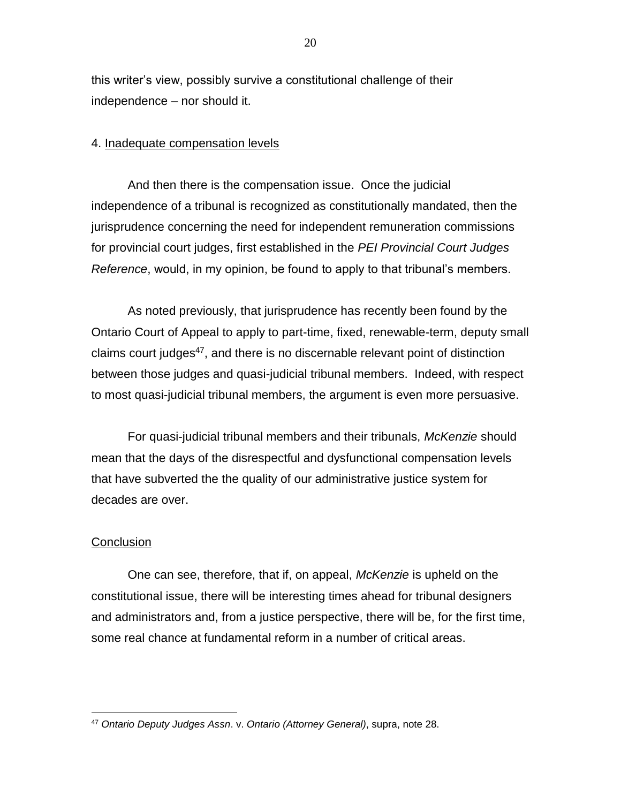this writer's view, possibly survive a constitutional challenge of their independence – nor should it.

#### 4. Inadequate compensation levels

And then there is the compensation issue. Once the judicial independence of a tribunal is recognized as constitutionally mandated, then the jurisprudence concerning the need for independent remuneration commissions for provincial court judges, first established in the *PEI Provincial Court Judges Reference*, would, in my opinion, be found to apply to that tribunal's members.

As noted previously, that jurisprudence has recently been found by the Ontario Court of Appeal to apply to part-time, fixed, renewable-term, deputy small claims court judges<sup>47</sup>, and there is no discernable relevant point of distinction between those judges and quasi-judicial tribunal members. Indeed, with respect to most quasi-judicial tribunal members, the argument is even more persuasive.

For quasi-judicial tribunal members and their tribunals, *McKenzie* should mean that the days of the disrespectful and dysfunctional compensation levels that have subverted the the quality of our administrative justice system for decades are over.

#### **Conclusion**

 $\overline{a}$ 

One can see, therefore, that if, on appeal, *McKenzie* is upheld on the constitutional issue, there will be interesting times ahead for tribunal designers and administrators and, from a justice perspective, there will be, for the first time, some real chance at fundamental reform in a number of critical areas.

<sup>47</sup> *Ontario Deputy Judges Assn*. v. *Ontario (Attorney General)*, supra, note 28.